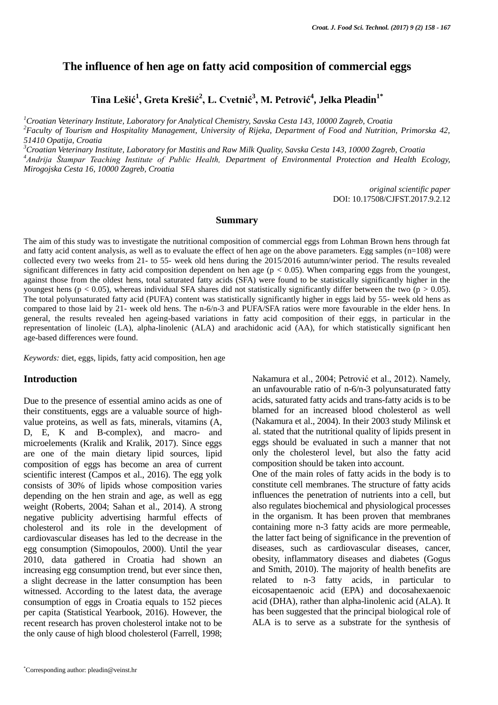# **The influence of hen age on fatty acid composition of commercial eggs**

**Tina Lešić<sup>1</sup> , Greta Krešić<sup>2</sup> , L. Cvetnić<sup>3</sup> , M. Petrović<sup>4</sup> , Jelka Pleadin1\***

*<sup>1</sup>Croatian Veterinary Institute, Laboratory for Analytical Chemistry, Savska Cesta 143, 10000 Zagreb, Croatia <sup>2</sup>Faculty of Tourism and Hospitality Management, University of Rijeka, Department of Food and Nutrition, Primorska 42, 51410 Opatija, Croatia*

*<sup>3</sup>Croatian Veterinary Institute, Laboratory for Mastitis and Raw Milk Quality, Savska Cesta 143, 10000 Zagreb, Croatia <sup>4</sup>Andrija Štampar Teaching Institute of Public Health, Department of Environmental Protection and Health Ecology, Mirogojska Cesta 16, 10000 Zagreb, Croatia*

> *original scientific paper* DOI: 10.17508/CJFST.2017.9.2.12

#### **Summary**

The aim of this study was to investigate the nutritional composition of commercial eggs from Lohman Brown hens through fat and fatty acid content analysis, as well as to evaluate the effect of hen age on the above parameters. Egg samples (n=108) were collected every two weeks from 21- to 55- week old hens during the 2015/2016 autumn/winter period. The results revealed significant differences in fatty acid composition dependent on hen age ( $p < 0.05$ ). When comparing eggs from the youngest, against those from the oldest hens, total saturated fatty acids (SFA) were found to be statistically significantly higher in the youngest hens ( $p < 0.05$ ), whereas individual SFA shares did not statistically significantly differ between the two ( $p > 0.05$ ). The total polyunsaturated fatty acid (PUFA) content was statistically significantly higher in eggs laid by 55- week old hens as compared to those laid by 21- week old hens. The n-6/n-3 and PUFA/SFA ratios were more favourable in the elder hens. In general, the results revealed hen ageing-based variations in fatty acid composition of their eggs, in particular in the representation of linoleic (LA), alpha-linolenic (ALA) and arachidonic acid (AA), for which statistically significant hen age-based differences were found.

*Keywords:* diet, eggs, lipids, fatty acid composition, hen age

#### **Introduction**

Due to the presence of essential amino acids as one of their constituents, eggs are a valuable source of highvalue proteins, as well as fats, minerals, vitamins (A, D, E, K and B-complex), and macro- and microelements (Kralik and Kralik, 2017). Since eggs are one of the main dietary lipid sources, lipid composition of eggs has become an area of current scientific interest (Campos et al., 2016). The egg yolk consists of 30% of lipids whose composition varies depending on the hen strain and age, as well as egg weight (Roberts, 2004; Sahan et al., 2014). A strong negative publicity advertising harmful effects of cholesterol and its role in the development of cardiovascular diseases has led to the decrease in the egg consumption (Simopoulos, 2000). Until the year 2010, data gathered in Croatia had shown an increasing egg consumption trend, but ever since then, a slight decrease in the latter consumption has been witnessed. According to the latest data, the average consumption of eggs in Croatia equals to 152 pieces per capita (Statistical Yearbook, 2016). However, the recent research has proven cholesterol intake not to be the only cause of high blood cholesterol (Farrell, 1998;

Nakamura et al., 2004; Petrović et al., 2012). Namely, an unfavourable ratio of n-6/n-3 polyunsaturated fatty acids, saturated fatty acids and trans-fatty acids is to be blamed for an increased blood cholesterol as well (Nakamura et al., 2004). In their 2003 study Milinsk et al. stated that the nutritional quality of lipids present in eggs should be evaluated in such a manner that not only the cholesterol level, but also the fatty acid composition should be taken into account.

One of the main roles of fatty acids in the body is to constitute cell membranes. The structure of fatty acids influences the penetration of nutrients into a cell, but also regulates biochemical and physiological processes in the organism. It has been proven that membranes containing more n-3 fatty acids are more permeable, the latter fact being of significance in the prevention of diseases, such as cardiovascular diseases, cancer, obesity, inflammatory diseases and diabetes (Gogus and Smith, 2010). The majority of health benefits are related to n-3 fatty acids, in particular to eicosapentaenoic acid (EPA) and docosahexaenoic acid (DHA), rather than alpha-linolenic acid (ALA). It has been suggested that the principal biological role of ALA is to serve as a substrate for the synthesis of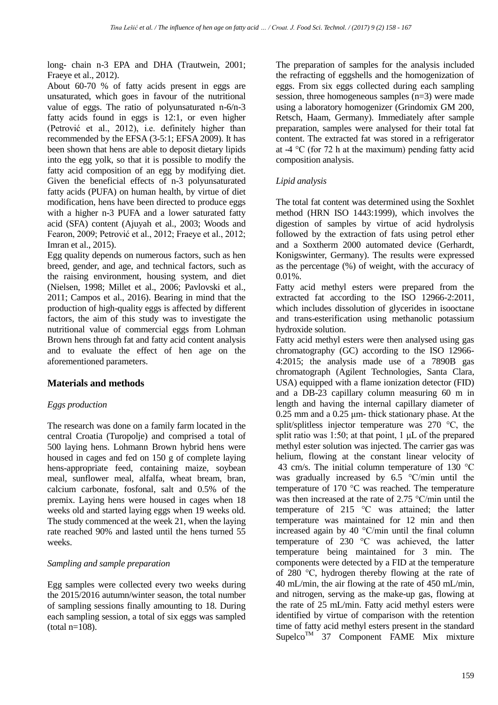long- chain n-3 EPA and DHA (Trautwein, 2001; Fraeye et al., 2012).

About 60-70 % of fatty acids present in eggs are unsaturated, which goes in favour of the nutritional value of eggs. The ratio of polyunsaturated n-6/n-3 fatty acids found in eggs is 12:1, or even higher (Petrović et al., 2012), i.e. definitely higher than recommended by the EFSA (3-5:1; EFSA 2009). It has been shown that hens are able to deposit dietary lipids into the egg yolk, so that it is possible to modify the fatty acid composition of an egg by modifying diet. Given the beneficial effects of n-3 polyunsaturated fatty acids (PUFA) on human health, by virtue of diet modification, hens have been directed to produce eggs with a higher n-3 PUFA and a lower saturated fatty acid (SFA) content (Ajuyah et al., 2003; Woods and Fearon, 2009; Petrović et al., 2012; Fraeye et al., 2012; Imran et al., 2015).

Egg quality depends on numerous factors, such as hen breed, gender, and age, and technical factors, such as the raising environment, housing system, and diet (Nielsen, 1998; Millet et al., 2006; Pavlovski et al., 2011; Campos et al., 2016). Bearing in mind that the production of high-quality eggs is affected by different factors, the aim of this study was to investigate the nutritional value of commercial eggs from Lohman Brown hens through fat and fatty acid content analysis and to evaluate the effect of hen age on the aforementioned parameters.

### **Materials and methods**

### *Eggs production*

The research was done on a family farm located in the central Croatia (Turopolje) and comprised a total of 500 laying hens. Lohmann Brown hybrid hens were housed in cages and fed on 150 g of complete laying hens-appropriate feed, containing maize, soybean meal, sunflower meal, alfalfa, wheat bream, bran, calcium carbonate, fosfonal, salt and 0.5% of the premix. Laying hens were housed in cages when 18 weeks old and started laying eggs when 19 weeks old. The study commenced at the week 21, when the laying rate reached 90% and lasted until the hens turned 55 weeks.

### *Sampling and sample preparation*

Egg samples were collected every two weeks during the 2015/2016 autumn/winter season, the total number of sampling sessions finally amounting to 18. During each sampling session, a total of six eggs was sampled  $(total n=108)$ .

The preparation of samples for the analysis included the refracting of eggshells and the homogenization of eggs. From six eggs collected during each sampling session, three homogeneous samples (n=3) were made using a laboratory homogenizer (Grindomix GM 200, Retsch, Haam, Germany). Immediately after sample preparation, samples were analysed for their total fat content. The extracted fat was stored in a refrigerator at -4 °C (for 72 h at the maximum) pending fatty acid composition analysis.

## *Lipid analysis*

The total fat content was determined using the Soxhlet method (HRN ISO 1443:1999), which involves the digestion of samples by virtue of acid hydrolysis followed by the extraction of fats using petrol ether and a Soxtherm 2000 automated device (Gerhardt, Konigswinter, Germany). The results were expressed as the percentage (%) of weight, with the accuracy of 0.01%.

Fatty acid methyl esters were prepared from the extracted fat according to the ISO 12966-2:2011, which includes dissolution of glycerides in isooctane and trans-esterification using methanolic potassium hydroxide solution.

Fatty acid methyl esters were then analysed using gas chromatography (GC) according to the ISO 12966- 4:2015; the analysis made use of a 7890B gas chromatograph (Agilent Technologies, Santa Clara, USA) equipped with a flame ionization detector (FID) and a DB-23 capillary column measuring 60 m in length and having the internal capillary diameter of 0.25 mm and a 0.25 μm- thick stationary phase. At the split/splitless injector temperature was 270 °C, the split ratio was 1:50; at that point,  $1 \mu L$  of the prepared methyl ester solution was injected. The carrier gas was helium, flowing at the constant linear velocity of 43 cm/s. The initial column temperature of 130 °C was gradually increased by 6.5 °C/min until the temperature of 170 °C was reached. The temperature was then increased at the rate of 2.75 °C/min until the temperature of 215 °C was attained; the latter temperature was maintained for 12 min and then increased again by 40 °C/min until the final column temperature of 230 °C was achieved, the latter temperature being maintained for 3 min. The components were detected by a FID at the temperature of 280 °C, hydrogen thereby flowing at the rate of 40 mL/min, the air flowing at the rate of 450 mL/min, and nitrogen, serving as the make-up gas, flowing at the rate of 25 mL/min. Fatty acid methyl esters were identified by virtue of comparison with the retention time of fatty acid methyl esters present in the standard Supelco<sup>TM</sup> 37 Component FAME Mix mixture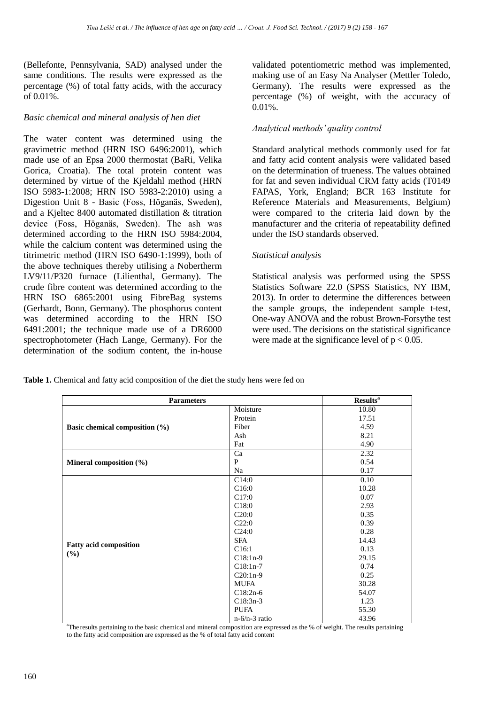(Bellefonte, Pennsylvania, SAD) analysed under the same conditions. The results were expressed as the percentage (%) of total fatty acids, with the accuracy of 0.01%.

### *Basic chemical and mineral analysis of hen diet*

The water content was determined using the gravimetric method (HRN ISO 6496:2001), which made use of an Epsa 2000 thermostat (BaRi, Velika Gorica, Croatia). The total protein content was determined by virtue of the Kjeldahl method (HRN ISO 5983-1:2008; HRN ISO 5983-2:2010) using a Digestion Unit 8 - Basic (Foss, Höganäs, Sweden), and a Kjeltec 8400 automated distillation & titration device (Foss, Höganäs, Sweden). The ash was determined according to the HRN ISO 5984:2004, while the calcium content was determined using the titrimetric method (HRN ISO 6490-1:1999), both of the above techniques thereby utilising a Nobertherm LV9/11/P320 furnace (Lilienthal, Germany). The crude fibre content was determined according to the HRN ISO 6865:2001 using FibreBag systems (Gerhardt, Bonn, Germany). The phosphorus content was determined according to the HRN ISO 6491:2001; the technique made use of a DR6000 spectrophotometer (Hach Lange, Germany). For the determination of the sodium content, the in-house

validated potentiometric method was implemented, making use of an Easy Na Analyser (Mettler Toledo, Germany). The results were expressed as the percentage (%) of weight, with the accuracy of  $0.01\%$ .

### *Analytical methods' quality control*

Standard analytical methods commonly used for fat and fatty acid content analysis were validated based on the determination of trueness. The values obtained for fat and seven individual CRM fatty acids (T0149 FAPAS, York, England; BCR 163 Institute for Reference Materials and Measurements, Belgium) were compared to the criteria laid down by the manufacturer and the criteria of repeatability defined under the ISO standards observed.

#### *Statistical analysis*

Statistical analysis was performed using the SPSS Statistics Software 22.0 (SPSS Statistics, NY IBM, 2013). In order to determine the differences between the sample groups, the independent sample t-test, One-way ANOVA and the robust Brown-Forsythe test were used. The decisions on the statistical significance were made at the significance level of  $p < 0.05$ .

| <b>Table 1.</b> Chemical and fatty acid composition of the diet the study hens were fed on |  |  |  |
|--------------------------------------------------------------------------------------------|--|--|--|
|--------------------------------------------------------------------------------------------|--|--|--|

| <b>Parameters</b>              |                 | <b>Results</b> <sup>a</sup> |
|--------------------------------|-----------------|-----------------------------|
|                                | Moisture        | 10.80                       |
|                                | Protein         | 17.51                       |
| Basic chemical composition (%) | Fiber           | 4.59                        |
|                                | Ash             | 8.21                        |
|                                | Fat             | 4.90                        |
|                                | Ca              | 2.32                        |
| Mineral composition (%)        | P               | 0.54                        |
|                                | Na              | 0.17                        |
|                                | C14:0           | 0.10                        |
|                                | C16:0           | 10.28                       |
|                                | C17:0           | 0.07                        |
|                                | C18:0           | 2.93                        |
|                                | C20:0           | 0.35                        |
|                                | C22:0           | 0.39                        |
|                                | C24:0           | 0.28                        |
|                                | <b>SFA</b>      | 14.43                       |
| <b>Fatty acid composition</b>  | C16:1           | 0.13                        |
| $(\%)$                         | $C18:1n-9$      | 29.15                       |
|                                | $C18:1n-7$      | 0.74                        |
|                                | $C20:1n-9$      | 0.25                        |
|                                | <b>MUFA</b>     | 30.28                       |
|                                | $C18:2n-6$      | 54.07                       |
|                                | $C18:3n-3$      | 1.23                        |
|                                | <b>PUFA</b>     | 55.30                       |
|                                | $n-6/n-3$ ratio | 43.96                       |

<sup>a</sup>The results pertaining to the basic chemical and mineral composition are expressed as the % of weight. The results pertaining to the fatty acid composition are expressed as the % of total fatty acid content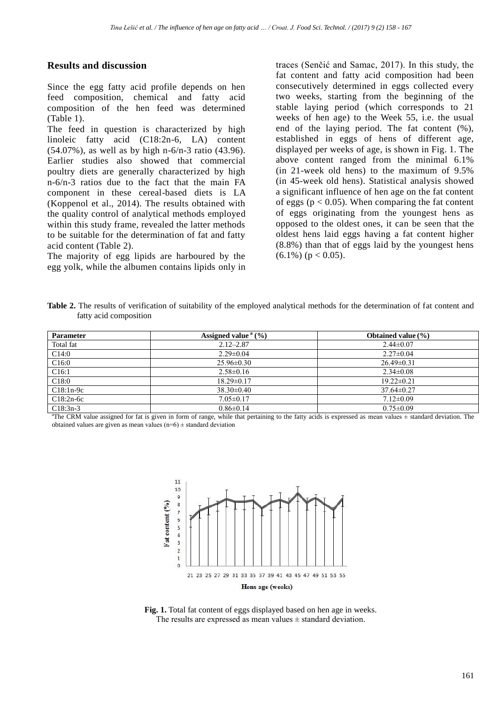## **Results and discussion**

Since the egg fatty acid profile depends on hen feed composition, chemical and fatty acid composition of the hen feed was determined (Table 1).

The feed in question is characterized by high linoleic fatty acid (C18:2n-6, LA) content (54.07%), as well as by high n-6/n-3 ratio (43.96). Earlier studies also showed that commercial poultry diets are generally characterized by high n-6/n-3 ratios due to the fact that the main FA component in these cereal-based diets is LA (Koppenol et al., 2014). The results obtained with the quality control of analytical methods employed within this study frame, revealed the latter methods to be suitable for the determination of fat and fatty acid content (Table 2).

The majority of egg lipids are harboured by the egg yolk, while the albumen contains lipids only in traces (Senčić and Samac, 2017). In this study, the fat content and fatty acid composition had been consecutively determined in eggs collected every two weeks, starting from the beginning of the stable laying period (which corresponds to 21 weeks of hen age) to the Week 55, i.e. the usual end of the laying period. The fat content (%), established in eggs of hens of different age, displayed per weeks of age, is shown in Fig. 1. The above content ranged from the minimal 6.1% (in 21-week old hens) to the maximum of 9.5% (in 45-week old hens). Statistical analysis showed a significant influence of hen age on the fat content of eggs ( $p < 0.05$ ). When comparing the fat content of eggs originating from the youngest hens as opposed to the oldest ones, it can be seen that the oldest hens laid eggs having a fat content higher (8.8%) than that of eggs laid by the youngest hens  $(6.1\%) (p < 0.05)$ .

Table 2. The results of verification of suitability of the employed analytical methods for the determination of fat content and fatty acid composition

| <b>Parameter</b>  | Assigned value $(9/6)$ | Obtained value $(\% )$ |
|-------------------|------------------------|------------------------|
| Total fat         | $2.12 - 2.87$          | $2.44\pm0.07$          |
| C14:0             | $2.29 \pm 0.04$        | $2.27 \pm 0.04$        |
| C16:0             | $25.96 \pm 0.30$       | $26.49 \pm 0.31$       |
| C <sub>16:1</sub> | $2.58 \pm 0.16$        | $2.34 \pm 0.08$        |
| C18:0             | $18.29 \pm 0.17$       | $19.22 \pm 0.21$       |
| $C18:1n-9c$       | $38.30\pm0.40$         | $37.64 \pm 0.27$       |
| $C18:2n-6c$       | $7.05 \pm 0.17$        | $7.12 \pm 0.09$        |
| $C18:3n-3$        | $0.86 \pm 0.14$        | $0.75 \pm 0.09$        |

<sup>a</sup>The CRM value assigned for fat is given in form of range, while that pertaining to the fatty acids is expressed as mean values ± standard deviation. The obtained values are given as mean values ( $n=6$ )  $\pm$  standard deviation



**Fig. 1.** Total fat content of eggs displayed based on hen age in weeks. The results are expressed as mean values  $\pm$  standard deviation.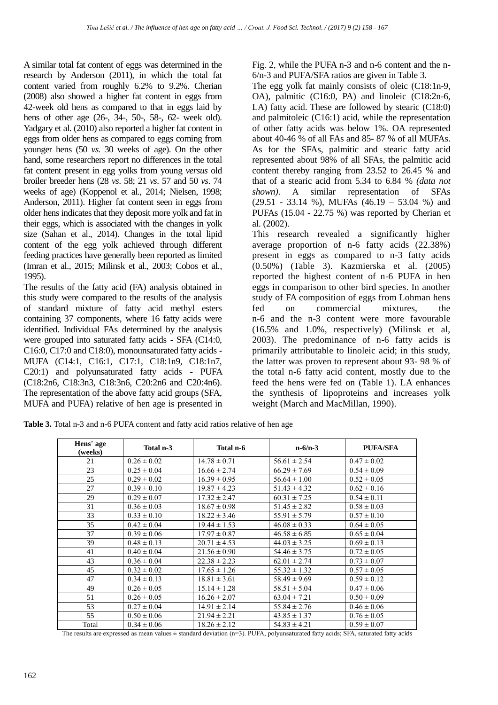A similar total fat content of eggs was determined in the research by Anderson (2011), in which the total fat content varied from roughly 6.2% to 9.2%. Cherian (2008) also showed a higher fat content in eggs from 42-week old hens as compared to that in eggs laid by hens of other age (26-, 34-, 50-, 58-, 62- week old). Yadgary et al. (2010) also reported a higher fat content in eggs from older hens as compared to eggs coming from younger hens (50 *vs.* 30 weeks of age). On the other hand, some researchers report no differences in the total fat content present in egg yolks from young *versus* old broiler breeder hens (28 *vs*. 58; 21 *vs*. 57 and 50 *vs*. 74 weeks of age) (Koppenol et al., 2014; Nielsen, 1998; Anderson, 2011). Higher fat content seen in eggs from older hens indicates that they deposit more yolk and fat in their eggs, which is associated with the changes in yolk size (Sahan et al., 2014). Changes in the total lipid content of the egg yolk achieved through different feeding practices have generally been reported as limited (Imran et al., 2015; Milinsk et al., 2003; Cobos et al., 1995).

The results of the fatty acid (FA) analysis obtained in this study were compared to the results of the analysis of standard mixture of fatty acid methyl esters containing 37 components, where 16 fatty acids were identified. Individual FAs determined by the analysis were grouped into saturated fatty acids - SFA (C14:0, C16:0, C17:0 and C18:0), monounsaturated fatty acids - MUFA (C14:1, C16:1, C17:1, C18:1n9, C18:1n7, C20:1) and polyunsaturated fatty acids - PUFA (C18:2n6, C18:3n3, C18:3n6, C20:2n6 and C20:4n6). The representation of the above fatty acid groups (SFA, MUFA and PUFA) relative of hen age is presented in Fig. 2, while the PUFA n-3 and n-6 content and the n-6/n-3 and PUFA/SFA ratios are given in Table 3.

The egg yolk fat mainly consists of oleic (C18:1n-9, OA), palmitic (C16:0, PA) and linoleic (C18:2n-6, LA) fatty acid. These are followed by stearic (C18:0) and palmitoleic (C16:1) acid, while the representation of other fatty acids was below 1%. OA represented about 40-46 % of all FAs and 85- 87 % of all MUFAs. As for the SFAs, palmitic and stearic fatty acid represented about 98% of all SFAs, the palmitic acid content thereby ranging from 23.52 to 26.45 % and that of a stearic acid from 5.34 to 6.84 % *(data not shown)*. A similar representation of SFAs  $(29.51 - 33.14 \%)$ , MUFAs  $(46.19 - 53.04 \%)$  and PUFAs (15.04 - 22.75 %) was reported by Cherian et al. (2002).

This research revealed a significantly higher average proportion of n-6 fatty acids (22.38%) present in eggs as compared to n-3 fatty acids (0.50%) (Table 3). Kazmierska et al. (2005) reported the highest content of n-6 PUFA in hen eggs in comparison to other bird species. In another study of FA composition of eggs from Lohman hens fed on commercial mixtures, the n-6 and the n-3 content were more favourable (16.5% and 1.0%, respectively) (Milinsk et al, 2003). The predominance of n-6 fatty acids is primarily attributable to linoleic acid; in this study, the latter was proven to represent about 93- 98 % of the total n-6 fatty acid content, mostly due to the feed the hens were fed on (Table 1). LA enhances the synthesis of lipoproteins and increases yolk weight (March and MacMillan, 1990).

**Table 3.** Total n-3 and n-6 PUFA content and fatty acid ratios relative of hen age

| Hens' age<br>(weeks) | Total n-3       | Total n-6        | $n-6/n-3$        | <b>PUFA/SFA</b> |
|----------------------|-----------------|------------------|------------------|-----------------|
| 21                   | $0.26 \pm 0.02$ | $14.78 \pm 0.71$ | $56.61 \pm 2.54$ | $0.47 \pm 0.02$ |
| 23                   | $0.25 \pm 0.04$ | $16.66 \pm 2.74$ | $66.29 \pm 7.69$ | $0.54 \pm 0.09$ |
| 25                   | $0.29 \pm 0.02$ | $16.39 \pm 0.95$ | $56.64 \pm 1.00$ | $0.52 \pm 0.05$ |
| 27                   | $0.39 \pm 0.10$ | $19.87 \pm 4.23$ | $51.43 \pm 4.32$ | $0.62 \pm 0.16$ |
| 29                   | $0.29 \pm 0.07$ | $17.32 \pm 2.47$ | $60.31 \pm 7.25$ | $0.54 \pm 0.11$ |
| 31                   | $0.36 \pm 0.03$ | $18.67 \pm 0.98$ | $51.45 \pm 2.82$ | $0.58 \pm 0.03$ |
| 33                   | $0.33 \pm 0.10$ | $18.22 \pm 3.46$ | $55.91 \pm 5.79$ | $0.57 \pm 0.10$ |
| 35                   | $0.42 \pm 0.04$ | $19.44 \pm 1.53$ | $46.08 \pm 0.33$ | $0.64 \pm 0.05$ |
| 37                   | $0.39 \pm 0.06$ | $17.97 \pm 0.87$ | $46.58 \pm 6.85$ | $0.65 \pm 0.04$ |
| 39                   | $0.48 \pm 0.13$ | $20.71 \pm 4.53$ | $44.03 \pm 3.25$ | $0.69 \pm 0.13$ |
| 41                   | $0.40 \pm 0.04$ | $21.56 \pm 0.90$ | $54.46 \pm 3.75$ | $0.72 \pm 0.05$ |
| 43                   | $0.36 \pm 0.04$ | $22.38 \pm 2.23$ | $62.01 \pm 2.74$ | $0.73 \pm 0.07$ |
| 45                   | $0.32 \pm 0.02$ | $17.65 \pm 1.26$ | $55.32 \pm 1.32$ | $0.57 \pm 0.05$ |
| 47                   | $0.34 \pm 0.13$ | $18.81 \pm 3.61$ | $58.49 \pm 9.69$ | $0.59 \pm 0.12$ |
| 49                   | $0.26 \pm 0.05$ | $15.14 \pm 1.28$ | $58.51 \pm 5.04$ | $0.47 \pm 0.06$ |
| 51                   | $0.26 \pm 0.05$ | $16.26 \pm 2.07$ | $63.04 \pm 7.21$ | $0.50 \pm 0.09$ |
| 53                   | $0.27 \pm 0.04$ | $14.91 \pm 2.14$ | $55.84 \pm 2.76$ | $0.46 \pm 0.06$ |
| 55                   | $0.50 \pm 0.06$ | $21.94 \pm 2.21$ | $43.85 \pm 1.37$ | $0.76 \pm 0.05$ |
| Total                | $0.34 \pm 0.06$ | $18.26 \pm 2.12$ | $54.83 \pm 4.21$ | $0.59 \pm 0.07$ |

The results are expressed as mean values  $\pm$  standard deviation (n=3). PUFA, polyunsaturated fatty acids; SFA, saturated fatty acids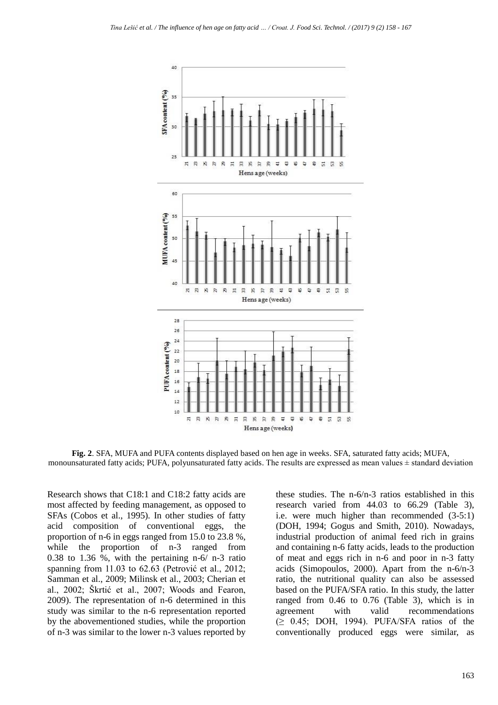

**Fig. 2**. SFA, MUFA and PUFA contents displayed based on hen age in weeks. SFA, saturated fatty acids; MUFA, monounsaturated fatty acids; PUFA, polyunsaturated fatty acids. The results are expressed as mean values  $\pm$  standard deviation

Research shows that C18:1 and C18:2 fatty acids are most affected by feeding management, as opposed to SFAs (Cobos et al., 1995). In other studies of fatty acid composition of conventional eggs, the proportion of n-6 in eggs ranged from 15.0 to 23.8 %, while the proportion of n-3 ranged from 0.38 to 1.36 %, with the pertaining n-6/ n-3 ratio spanning from 11.03 to 62.63 (Petrović et al., 2012; Samman et al., 2009; Milinsk et al., 2003; Cherian et al., 2002; Škrtić et al., 2007; Woods and Fearon, 2009). The representation of n-6 determined in this study was similar to the n-6 representation reported by the abovementioned studies, while the proportion of n-3 was similar to the lower n-3 values reported by

these studies. The n-6/n-3 ratios established in this research varied from 44.03 to 66.29 (Table 3), i.e. were much higher than recommended (3-5:1) (DOH, 1994; Gogus and Smith, 2010). Nowadays, industrial production of animal feed rich in grains and containing n-6 fatty acids, leads to the production of meat and eggs rich in n-6 and poor in n-3 fatty acids (Simopoulos, 2000). Apart from the n-6/n-3 ratio, the nutritional quality can also be assessed based on the PUFA/SFA ratio. In this study, the latter ranged from 0.46 to 0.76 (Table 3), which is in agreement with valid recommendations  $(≥ 0.45; DOH, 1994)$ . PUFA/SFA ratios of the conventionally produced eggs were similar, as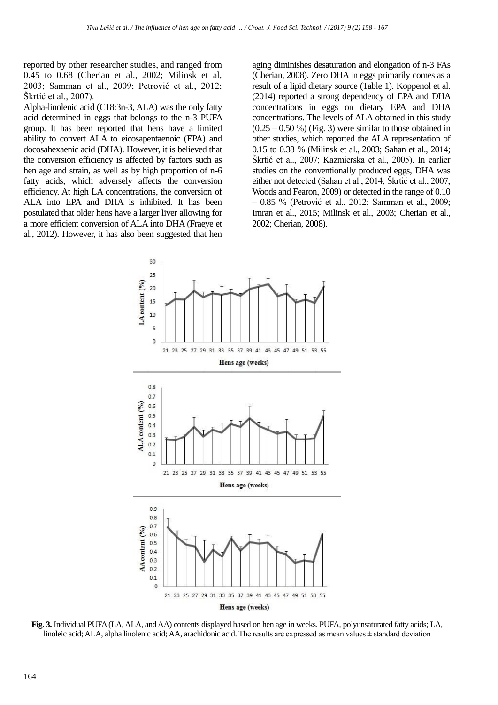reported by other researcher studies, and ranged from 0.45 to 0.68 (Cherian et al., 2002; Milinsk et al, 2003; Samman et al., 2009; Petrović et al., 2012; Škrtić et al., 2007).

Alpha-linolenic acid (C18:3n-3, ALA) was the only fatty acid determined in eggs that belongs to the n-3 PUFA group. It has been reported that hens have a limited ability to convert ALA to eicosapentaenoic (EPA) and docosahexaenic acid (DHA). However, it is believed that the conversion efficiency is affected by factors such as hen age and strain, as well as by high proportion of n-6 fatty acids, which adversely affects the conversion efficiency. At high LA concentrations, the conversion of ALA into EPA and DHA is inhibited. It has been postulated that older hens have a larger liver allowing for a more efficient conversion of ALA into DHA (Fraeye et al., 2012). However, it has also been suggested that hen

aging diminishes desaturation and elongation of n-3 FAs (Cherian, 2008). Zero DHA in eggs primarily comes as a result of a lipid dietary source (Table 1). Koppenol et al. (2014) reported a strong dependency of EPA and DHA concentrations in eggs on dietary EPA and DHA concentrations. The levels of ALA obtained in this study  $(0.25 - 0.50 \%)$  (Fig. 3) were similar to those obtained in other studies, which reported the ALA representation of 0.15 to 0.38 % (Milinsk et al., 2003; Sahan et al., 2014; Škrtić et al., 2007; Kazmierska et al., 2005). In earlier studies on the conventionally produced eggs, DHA was either not detected (Sahan et al., 2014; Škrtić et al., 2007; Woods and Fearon, 2009) or detected in the range of 0.10 – 0.85 % (Petrović et al., 2012; Samman et al., 2009; Imran et al., 2015; Milinsk et al., 2003; Cherian et al., 2002; Cherian, 2008).



**Fig. 3.** Individual PUFA (LA, ALA, and AA) contents displayed based on hen age in weeks. PUFA, polyunsaturated fatty acids; LA, linoleic acid; ALA, alpha linolenic acid; AA, arachidonic acid. The results are expressed as mean values  $\pm$  standard deviation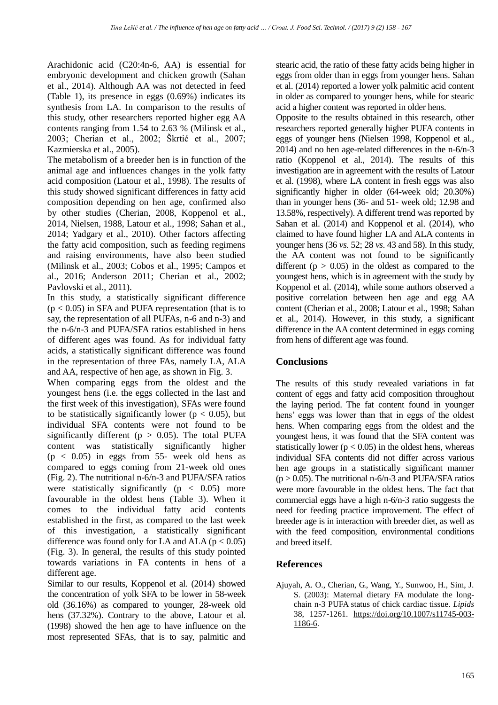Arachidonic acid (C20:4n-6, AA) is essential for embryonic development and chicken growth (Sahan et al., 2014). Although AA was not detected in feed (Table 1), its presence in eggs (0.69%) indicates its synthesis from LA. In comparison to the results of this study, other researchers reported higher egg AA contents ranging from 1.54 to 2.63 % (Milinsk et al., 2003; Cherian et al., 2002; Škrtić et al., 2007; Kazmierska et al., 2005).

The metabolism of a breeder hen is in function of the animal age and influences changes in the yolk fatty acid composition (Latour et al., 1998). The results of this study showed significant differences in fatty acid composition depending on hen age, confirmed also by other studies (Cherian, 2008, Koppenol et al., 2014, Nielsen, 1988, Latour et al., 1998; Sahan et al., 2014; Yadgary et al., 2010). Other factors affecting the fatty acid composition, such as feeding regimens and raising environments, have also been studied (Milinsk et al., 2003; Cobos et al., 1995; Campos et al., 2016; Anderson 2011; Cherian et al., 2002; Pavlovski et al., 2011).

In this study, a statistically significant difference  $(p < 0.05)$  in SFA and PUFA representation (that is to say, the representation of all PUFAs, n-6 and n-3) and the n-6/n-3 and PUFA/SFA ratios established in hens of different ages was found. As for individual fatty acids, a statistically significant difference was found in the representation of three FAs, namely LA, ALA and AA, respective of hen age, as shown in Fig. 3.

When comparing eggs from the oldest and the youngest hens (i.e. the eggs collected in the last and the first week of this investigation), SFAs were found to be statistically significantly lower ( $p < 0.05$ ), but individual SFA contents were not found to be significantly different ( $p > 0.05$ ). The total PUFA content was statistically significantly higher  $(p < 0.05)$  in eggs from 55- week old hens as compared to eggs coming from 21-week old ones (Fig. 2). The nutritional n-6/n-3 and PUFA/SFA ratios were statistically significantly ( $p < 0.05$ ) more favourable in the oldest hens (Table 3). When it comes to the individual fatty acid contents established in the first, as compared to the last week of this investigation, a statistically significant difference was found only for LA and ALA ( $p < 0.05$ ) (Fig. 3). In general, the results of this study pointed towards variations in FA contents in hens of a different age.

Similar to our results, Koppenol et al. (2014) showed the concentration of yolk SFA to be lower in 58-week old (36.16%) as compared to younger, 28-week old hens (37.32%). Contrary to the above, Latour et al. (1998) showed the hen age to have influence on the most represented SFAs, that is to say, palmitic and

stearic acid, the ratio of these fatty acids being higher in eggs from older than in eggs from younger hens. Sahan et al. (2014) reported a lower yolk palmitic acid content in older as compared to younger hens, while for stearic acid a higher content was reported in older hens.

Opposite to the results obtained in this research, other researchers reported generally higher PUFA contents in eggs of younger hens (Nielsen 1998, Koppenol et al., 2014) and no hen age-related differences in the n-6/n-3 ratio (Koppenol et al., 2014). The results of this investigation are in agreement with the results of Latour et al. (1998), where LA content in fresh eggs was also significantly higher in older (64-week old; 20.30%) than in younger hens (36- and 51- week old; 12.98 and 13.58%, respectively). A different trend was reported by Sahan et al. (2014) and Koppenol et al. (2014), who claimed to have found higher LA and ALA contents in younger hens (36 *vs.* 52; 28 *vs*. 43 and 58). In this study, the AA content was not found to be significantly different ( $p > 0.05$ ) in the oldest as compared to the youngest hens, which is in agreement with the study by Koppenol et al. (2014), while some authors observed a positive correlation between hen age and egg AA content (Cherian et al., 2008; Latour et al., 1998; Sahan et al., 2014). However, in this study, a significant difference in the AA content determined in eggs coming from hens of different age was found.

# **Conclusions**

The results of this study revealed variations in fat content of eggs and fatty acid composition throughout the laying period. The fat content found in younger hens' eggs was lower than that in eggs of the oldest hens. When comparing eggs from the oldest and the youngest hens, it was found that the SFA content was statistically lower ( $p < 0.05$ ) in the oldest hens, whereas individual SFA contents did not differ across various hen age groups in a statistically significant manner  $(p > 0.05)$ . The nutritional n-6/n-3 and PUFA/SFA ratios were more favourable in the oldest hens. The fact that commercial eggs have a high n-6/n-3 ratio suggests the need for feeding practice improvement. The effect of breeder age is in interaction with breeder diet, as well as with the feed composition, environmental conditions and breed itself.

# **References**

Ajuyah, A. O., Cherian, G., Wang, Y., Sunwoo, H., Sim, J. S. (2003): Maternal dietary FA modulate the longchain n-3 PUFA status of chick cardiac tissue. *Lipids* 38, 1257-1261. [https://doi.org/10.1007/s11745-003-](https://doi.org/10.1007/s11745-003-1186-6) [1186-6.](https://doi.org/10.1007/s11745-003-1186-6)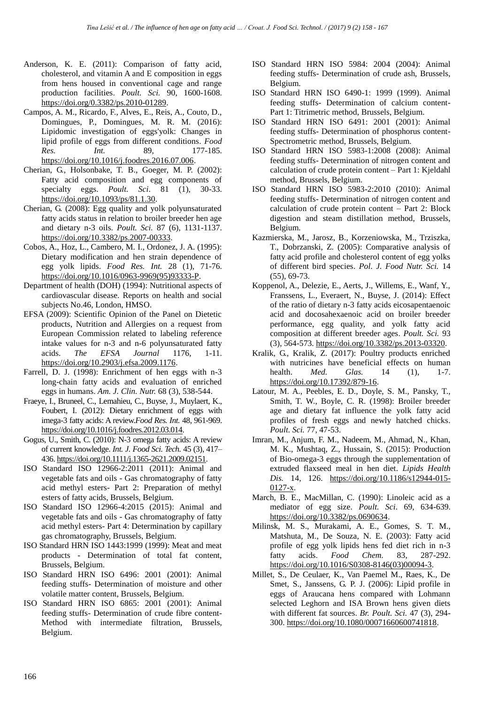- Anderson, K. E. (2011): Comparison of fatty acid, cholesterol, and vitamin A and E composition in eggs from hens housed in conventional cage and range production facilities. *Poult. Sci.* 90, 1600-1608. [https://doi.org/0.3382/ps.2010-01289.](https://doi.org/0.3382/ps.2010-01289)
- Campos, A. M., Ricardo, F., Alves, E., Reis, A., Couto, D., Domingues, P., Domingues, M. R. M. (2016): Lipidomic investigation of eggs'yolk: Changes in lipid profile of eggs from different conditions. *Food Res. Int.* 89, 177-185. [https://doi.org/10.1016/j.foodres.2016.07.006.](https://doi.org/10.1016/j.foodres.2016.07.006)
- Cherian, G., Holsonbake, T. B., Goeger, M. P. (2002): Fatty acid composition and egg components of specialty eggs. *Poult. Sci*. 81 (1), 30-33. [https://doi.org/10.1093/ps/81.1.30.](https://doi.org/10.1093/ps/81.1.30)
- Cherian, G. (2008): Egg quality and yolk polyunsaturated fatty acids status in relation to broiler breeder hen age and dietary n-3 oils. *Poult. Sci.* 87 (6), 1131-1137. [https://doi.org/10.3382/ps.2007-00333.](https://doi.org/10.3382/ps.2007-00333)
- Cobos, A., Hoz, L., Cambero, M. I., Ordonez, J. A. (1995): Dietary modification and hen strain dependence of egg yolk lipids. *Food Res. Int.* 28 (1), 71-76. [https://doi.org/10.1016/0963-9969\(95\)93333-P.](https://doi.org/10.1016/0963-9969(95)93333-P)
- Department of health (DOH) (1994): Nutritional aspects of cardiovascular disease. Reports on health and social subjects No.46, London, HMSO.
- EFSA (2009): Scientific Opinion of the Panel on Dietetic products, Nutrition and Allergies on a request from European Commission related to labeling reference intake values for n-3 and n-6 polyunsaturated fatty acids. *The EFSA Journal* 1176, 1-11. [https://doi.org/10.2903/j.efsa.2009.1176.](https://doi.org/10.2903/j.efsa.2009.1176)
- Farrell, D. J. (1998): Enrichment of hen eggs with n-3 long-chain fatty acids and evaluation of enriched eggs in humans. *Am. J. Clin. Nutr.* 68 (3), 538-544.
- Fraeye, I., Bruneel, C., Lemahieu, C., Buyse, J., Muylaert, K., Foubert, I. (2012): Dietary enrichment of eggs with imega-3 fatty acids: A review.*Food Res. Int.* 48, 961-969. [https://doi.org/10.1016/j.foodres.2012.03.014.](https://doi.org/10.1016/j.foodres.2012.03.014)
- Gogus, U., Smith, C. (2010): N-3 omega fatty acids: A review of current knowledge. *Int. J. Food Sci. Tech.* 45 (3), 417– 436[. https://doi.org/10.1111/j.1365-2621.2009.02151.](https://doi.org/10.1111/j.1365-2621.2009.02151)
- ISO Standard ISO 12966-2:2011 (2011): Animal and vegetable fats and oils - Gas chromatography of fatty acid methyl esters- Part 2: Preparation of methyl esters of fatty acids, Brussels, Belgium.
- ISO Standard ISO 12966-4:2015 (2015): Animal and vegetable fats and oils - Gas chromatography of fatty acid methyl esters- Part 4: Determination by capillary gas chromatography, Brussels, Belgium.
- ISO Standard HRN ISO 1443:1999 (1999): Meat and meat products - Determination of total fat content, Brussels, Belgium.
- ISO Standard HRN ISO 6496: 2001 (2001): Animal feeding stuffs- Determination of moisture and other volatile matter content, Brussels, Belgium.
- ISO Standard HRN ISO 6865: 2001 (2001): Animal feeding stuffs- Determination of crude fibre content-Method with intermediate filtration, Brussels, Belgium.
- ISO Standard HRN ISO 5984: 2004 (2004): Animal feeding stuffs- Determination of crude ash, Brussels, Belgium.
- ISO Standard HRN ISO 6490-1: 1999 (1999). Animal feeding stuffs- Determination of calcium content-Part 1: Titrimetric method, Brussels, Belgium.
- ISO Standard HRN ISO 6491: 2001 (2001): Animal feeding stuffs- Determination of phosphorus content-Spectrometric method, Brussels, Belgium.
- ISO Standard HRN ISO 5983-1:2008 (2008): Animal feeding stuffs- Determination of nitrogen content and calculation of crude protein content – Part 1: Kjeldahl method, Brussels, Belgium.
- ISO Standard HRN ISO 5983-2:2010 (2010): Animal feeding stuffs- Determination of nitrogen content and calculation of crude protein content – Part 2: Block digestion and steam distillation method, Brussels, Belgium.
- Kazmierska, M., Jarosz, B., Korzeniowska, M., Trziszka, T., Dobrzanski, Z. (2005): Comparative analysis of fatty acid profile and cholesterol content of egg yolks of different bird species. *Pol. J. Food Nutr. Sci.* 14 (55), 69-73.
- Koppenol, A., Delezie, E., Aerts, J., Willems, E., Wanf, Y., Franssens, L., Everaert, N., Buyse, J. (2014): Effect of the ratio of dietary n-3 fatty acids eicosapentaenoic acid and docosahexaenoic acid on broiler breeder performance, egg quality, and yolk fatty acid composition at different breeder ages. *Poult. Sci.* 93 (3), 564-573. [https://doi.org/10.3382/ps.2013-03320.](https://doi.org/10.3382/ps.2013-03320)
- Kralik, G., Kralik, Z. (2017): Poultry products enriched with nutricines have beneficial effects on human<br>health.  $Med.$   $Glas.$  14 (1). 1-7. health. *Med. Glas.* 14 (1), 1-7. [https://doi.org/10.17392/879-16.](https://doi.org/10.17392/879-16)
- Latour, M. A., Peebles, E. D., Doyle, S. M., Pansky, T., Smith, T. W., Boyle, C. R. (1998): Broiler breeder age and dietary fat influence the yolk fatty acid profiles of fresh eggs and newly hatched chicks. *Poult. Sci.* 77, 47-53.
- Imran, M., Anjum, F. M., Nadeem, M., Ahmad, N., Khan, M. K., Mushtaq, Z., Hussain, S. (2015): Production of Bio-omega-3 eggs through the supplementation of extruded flaxseed meal in hen diet. *Lipids Health Dis.* 14, 126. [https://doi.org/10.1186/s12944-015-](https://doi.org/10.1186/s12944-015-0127-x) [0127-x.](https://doi.org/10.1186/s12944-015-0127-x)
- March, B. E., MacMillan, C. (1990): Linoleic acid as a mediator of egg size. *Poult. Sci*. 69, 634-63[9.](https://doi.org/10.3382/ps.0690634) [https://doi.org/10.3382/ps.0690634.](https://doi.org/10.3382/ps.0690634)
- Milinsk, M. S., Murakami, A. E., Gomes, S. T. M., Matshuta, M., De Souza, N. E. (2003): Fatty acid profile of egg yolk lipids hens fed diet rich in n-3 fatty acids. *Food Chem.* 83, 287-292. [https://doi.org/10.1016/S0308-8146\(03\)00094-3.](https://doi.org/10.1016/S0308-8146(03)00094-3)
- Millet, S., De Ceulaer, K., Van Paemel M., Raes, K., De Smet, S., Janssens, G. P. J. (2006): Lipid profile in eggs of Araucana hens compared with Lohmann selected Leghorn and ISA Brown hens given diets with different fat sources. *Br. Poult. Sci.* 47 (3), 294- 300. [https://doi.org/10.1080/00071660600741818.](https://doi.org/10.1080/00071660600741818)